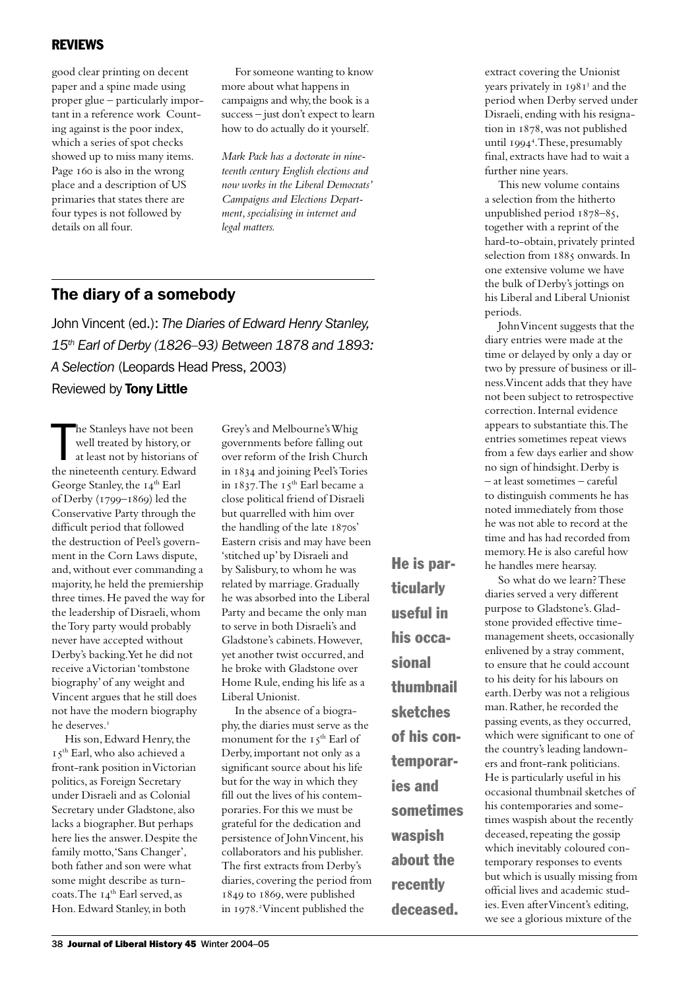## REVIEWS

good clear printing on decent paper and a spine made using proper glue – particularly important in a reference work Counting against is the poor index, which a series of spot checks showed up to miss many items. Page 160 is also in the wrong place and a description of US primaries that states there are four types is not followed by details on all four.

For someone wanting to know more about what happens in campaigns and why, the book is a success – just don't expect to learn how to do actually do it yourself.

*Mark Pack has a doctorate in nineteenth century English elections and now works in the Liberal Democrats' Campaigns and Elections Department, specialising in internet and legal matters.*

## The diary of a somebody

John Vincent (ed.): *The Diaries of Edward Henry Stanley, 15th Earl of Derby (1826–93) Between 1878 and 1893: A Selection* (Leopards Head Press, 2003)

Reviewed by Tony Little

The Stanleys have not been<br>well treated by history, or<br>at least not by historians of<br>the nineteenth century. Edward he Stanleys have not been well treated by history, or at least not by historians of George Stanley, the 14<sup>th</sup> Earl of Derby (1799-1869) led the Conservative Party through the difficult period that followed the destruction of Peel's government in the Corn Laws dispute, and, without ever commanding a majority, he held the premiership three times. He paved the way for the leadership of Disraeli, whom the Tory party would probably never have accepted without Derby's backing. Yet he did not receive a Victorian 'tombstone biography' of any weight and Vincent argues that he still does not have the modern biography he deserves.

His son, Edward Henry, the I 5<sup>th</sup> Earl, who also achieved a front-rank position in Victorian politics, as Foreign Secretary under Disraeli and as Colonial Secretary under Gladstone, also lacks a biographer. But perhaps here lies the answer. Despite the family motto, 'Sans Changer', both father and son were what some might describe as turncoats. The 14<sup>th</sup> Earl served, as Hon. Edward Stanley, in both

Grey's and Melbourne's Whig governments before falling out over reform of the Irish Church in 1834 and joining Peel's Tories in  $1837$ . The  $15<sup>th</sup>$  Earl became a close political friend of Disraeli but quarrelled with him over the handling of the late  $1870s'$ Eastern crisis and may have been 'stitched up' by Disraeli and by Salisbury, to whom he was related by marriage. Gradually he was absorbed into the Liberal Party and became the only man to serve in both Disraeli's and Gladstone's cabinets. However, yet another twist occurred, and he broke with Gladstone over Home Rule, ending his life as a Liberal Unionist.

In the absence of a biography, the diaries must serve as the monument for the 15<sup>th</sup> Earl of Derby, important not only as a significant source about his life but for the way in which they fill out the lives of his contemporaries. For this we must be grateful for the dedication and persistence of John Vincent, his collaborators and his publisher. The first extracts from Derby's diaries, covering the period from  $1849$  to  $1869$ , were published in 1978.<sup>2</sup> Vincent published the

He is particularly useful in his occasional thumbnail sketches of his contemporaries and sometimes waspish about the recently deceased.

extract covering the Unionist years privately in 1981<sup>3</sup> and the period when Derby served under Disraeli, ending with his resignation in 1878, was not published until 1994<sup>4</sup>. These, presumably final, extracts have had to wait a further nine years.

This new volume contains a selection from the hitherto unpublished period  $1878-85$ , together with a reprint of the hard-to-obtain, privately printed selection from 1885 onwards. In one extensive volume we have the bulk of Derby's jottings on his Liberal and Liberal Unionist periods.

John Vincent suggests that the diary entries were made at the time or delayed by only a day or two by pressure of business or illness. Vincent adds that they have not been subject to retrospective correction. Internal evidence appears to substantiate this. The entries sometimes repeat views from a few days earlier and show no sign of hindsight. Derby is – at least sometimes – careful to distinguish comments he has noted immediately from those he was not able to record at the time and has had recorded from memory. He is also careful how he handles mere hearsay.

So what do we learn? These diaries served a very different purpose to Gladstone's. Gladstone provided effective timemanagement sheets, occasionally enlivened by a stray comment, to ensure that he could account to his deity for his labours on earth. Derby was not a religious man. Rather, he recorded the passing events, as they occurred, which were significant to one of the country's leading landowners and front-rank politicians. He is particularly useful in his occasional thumbnail sketches of his contemporaries and sometimes waspish about the recently deceased, repeating the gossip which inevitably coloured contemporary responses to events but which is usually missing from official lives and academic studies. Even after Vincent's editing, we see a glorious mixture of the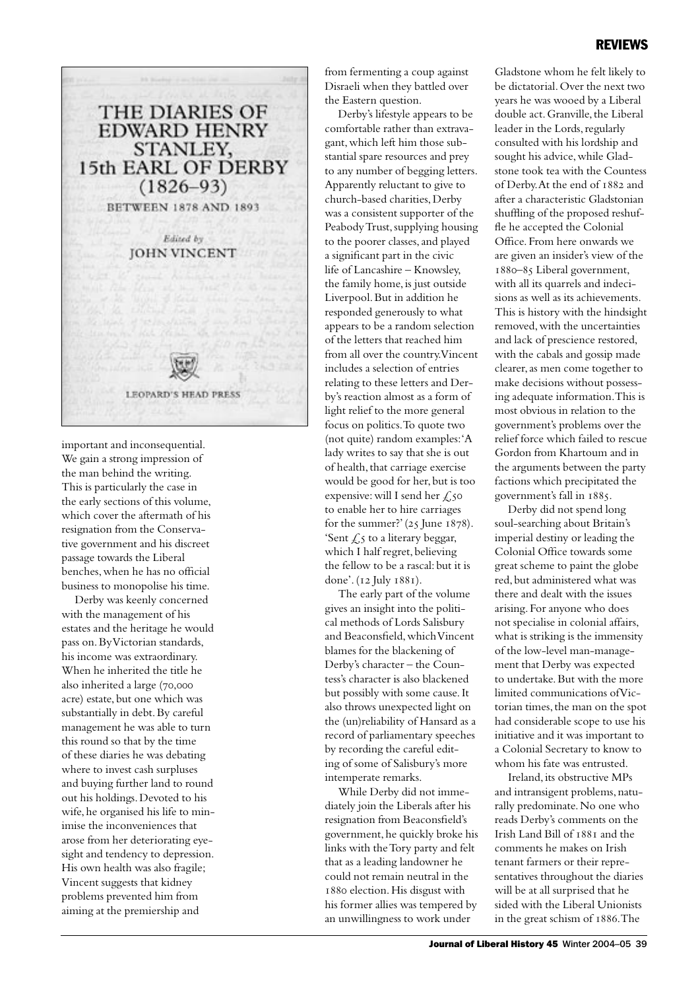

important and inconsequential. We gain a strong impression of the man behind the writing. This is particularly the case in the early sections of this volume, which cover the aftermath of his resignation from the Conservative government and his discreet passage towards the Liberal benches, when he has no official business to monopolise his time.

Derby was keenly concerned with the management of his estates and the heritage he would pass on. By Victorian standards, his income was extraordinary. When he inherited the title he also inherited a large (70,000 acre) estate, but one which was substantially in debt. By careful management he was able to turn this round so that by the time of these diaries he was debating where to invest cash surpluses and buying further land to round out his holdings. Devoted to his wife, he organised his life to minimise the inconveniences that arose from her deteriorating eyesight and tendency to depression. His own health was also fragile; Vincent suggests that kidney problems prevented him from aiming at the premiership and

from fermenting a coup against Disraeli when they battled over the Eastern question.

Derby's lifestyle appears to be comfortable rather than extravagant, which left him those substantial spare resources and prey to any number of begging letters. Apparently reluctant to give to church-based charities, Derby was a consistent supporter of the Peabody Trust, supplying housing to the poorer classes, and played a significant part in the civic life of Lancashire – Knowsley, the family home, is just outside Liverpool. But in addition he responded generously to what appears to be a random selection of the letters that reached him from all over the country. Vincent includes a selection of entries relating to these letters and Derby's reaction almost as a form of light relief to the more general focus on politics. To quote two (not quite) random examples: 'A lady writes to say that she is out of health, that carriage exercise would be good for her, but is too expensive: will I send her  $\zeta$ , 50 to enable her to hire carriages for the summer?'  $(25 \text{ June } 1878)$ . 'Sent  $\angle$  s to a literary beggar, which I half regret, believing the fellow to be a rascal: but it is done'. (12 July 1881).

The early part of the volume gives an insight into the political methods of Lords Salisbury and Beaconsfield, which Vincent blames for the blackening of Derby's character – the Countess's character is also blackened but possibly with some cause. It also throws unexpected light on the (un)reliability of Hansard as a record of parliamentary speeches by recording the careful editing of some of Salisbury's more intemperate remarks.

While Derby did not immediately join the Liberals after his resignation from Beaconsfield's government, he quickly broke his links with the Tory party and felt that as a leading landowner he could not remain neutral in the 1880 election. His disgust with his former allies was tempered by an unwillingness to work under

Gladstone whom he felt likely to be dictatorial. Over the next two years he was wooed by a Liberal double act. Granville, the Liberal leader in the Lords, regularly consulted with his lordship and sought his advice, while Gladstone took tea with the Countess of Derby. At the end of 1882 and after a characteristic Gladstonian shuffling of the proposed reshuffle he accepted the Colonial Office. From here onwards we are given an insider's view of the 1880-85 Liberal government, with all its quarrels and indecisions as well as its achievements. This is history with the hindsight removed, with the uncertainties and lack of prescience restored, with the cabals and gossip made clearer, as men come together to make decisions without possessing adequate information. This is most obvious in relation to the government's problems over the relief force which failed to rescue Gordon from Khartoum and in the arguments between the party factions which precipitated the government's fall in 1885.

Derby did not spend long soul-searching about Britain's imperial destiny or leading the Colonial Office towards some great scheme to paint the globe red, but administered what was there and dealt with the issues arising. For anyone who does not specialise in colonial affairs, what is striking is the immensity of the low-level man-management that Derby was expected to undertake. But with the more limited communications of Victorian times, the man on the spot had considerable scope to use his initiative and it was important to a Colonial Secretary to know to whom his fate was entrusted.

Ireland, its obstructive MPs and intransigent problems, naturally predominate. No one who reads Derby's comments on the Irish Land Bill of  $1881$  and the comments he makes on Irish tenant farmers or their representatives throughout the diaries will be at all surprised that he sided with the Liberal Unionists in the great schism of 1886. The